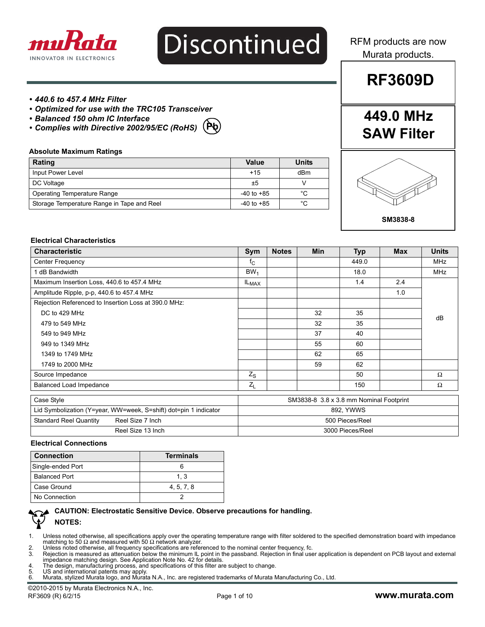

# Discontinued

RFM products are now Murata products.

**RF3609D**

#### *• 440.6 to 457.4 MHz Filter*

**Absolute Maximum Ratings**

- *Optimized for use with the TRC105 Transceiver*
- *Balanced 150 ohm IC Interface*
- *Complies with Directive 2002/95/EC (RoHS)* **Pb**

 **Rating Value Units** Input Power Level **Accord 2012 12:00 Transference** Accord 2013 12:00 Transference Accord 2013 12:00 Transference DC Voltage  $\qquad \qquad \qquad$  DC Voltage  $\qquad \qquad$  V Operating Temperature Range  $\vert$  -40 to +85  $\vert$  °C Storage Temperature Range in Tape and Reel  $\vert$  -40 to +85  $\vert$  °C

# **449.0 MHz SAW Filter**



#### **Electrical Characteristics**

| <b>Characteristic</b>                                            | Sym                                     | <b>Notes</b> | <b>Min</b> | <b>Typ</b> | <b>Max</b> | <b>Units</b> |
|------------------------------------------------------------------|-----------------------------------------|--------------|------------|------------|------------|--------------|
| <b>Center Frequency</b>                                          | $f_{C}$                                 |              |            | 449.0      |            | <b>MHz</b>   |
| 1 dB Bandwidth                                                   | BW <sub>1</sub>                         |              |            | 18.0       |            | <b>MHz</b>   |
| Maximum Insertion Loss, 440.6 to 457.4 MHz                       | IL <sub>MAX</sub>                       |              |            | 1.4        | 2.4        |              |
| Amplitude Ripple, p-p, 440.6 to 457.4 MHz                        |                                         |              |            |            | 1.0        |              |
| Rejection Referenced to Insertion Loss at 390.0 MHz:             |                                         |              |            |            |            |              |
| DC to 429 MHz                                                    |                                         |              | 32         | 35         |            | dB           |
| 479 to 549 MHz                                                   |                                         |              | 32         | 35         |            |              |
| 549 to 949 MHz                                                   |                                         |              | 37         | 40         |            |              |
| 949 to 1349 MHz                                                  |                                         |              | 55         | 60         |            |              |
| 1349 to 1749 MHz                                                 |                                         |              | 62         | 65         |            |              |
| 1749 to 2000 MHz                                                 |                                         |              | 59         | 62         |            |              |
| Source Impedance                                                 | $Z_{\rm S}$                             |              |            | 50         |            | $\Omega$     |
| Balanced Load Impedance                                          |                                         |              |            | 150        |            | $\Omega$     |
| Case Style                                                       | SM3838-8 3.8 x 3.8 mm Nominal Footprint |              |            |            |            |              |
| Lid Symbolization (Y=year, WW=week, S=shift) dot=pin 1 indicator | 892, YWWS                               |              |            |            |            |              |
| <b>Standard Reel Quantity</b><br>Reel Size 7 Inch                | 500 Pieces/Reel                         |              |            |            |            |              |
| Reel Size 13 Inch                                                | 3000 Pieces/Reel                        |              |            |            |            |              |

#### **Electrical Connections**

| <b>Connection</b>    | <b>Terminals</b> |
|----------------------|------------------|
| Single-ended Port    |                  |
| <b>Balanced Port</b> | 1.3              |
| Case Ground          | 4, 5, 7, 8       |
| No Connection        |                  |



#### **CAUTION: Electrostatic Sensitive Device. Observe precautions for handling. NOTES:**

- 1. Unless noted otherwise, all specifications apply over the operating temperature range with filter soldered to the specified demonstration board with impedance matching to 50 Ω and measured with 50 Ω network analyzer.
- 2. Unless noted otherwise, all frequency specifications are referenced to the nominal center frequency, fc.<br>2. Prejection is measured as attenuation below the minimum IL point in the passband. Rejection in final use
- Rejection is measured as attenuation below the minimum IL point in the passband. Rejection in final user application is dependent on PCB layout and external impedance matching design. See Application Note No. 42 for details.
- 4. The design, manufacturing process, and specifications of this filter are subject to change.<br>5. LIS and international patents may apply
- 5. US and international patents may apply. 6. Murata, stylized Murata logo, and Murata N.A., Inc. are registered trademarks of Murata Manufacturing Co., Ltd.

©2010-2015 by Murata Electronics N.A., Inc. RF3609 (R) 6/2/15 Page 1 of 10 **www.murata.com**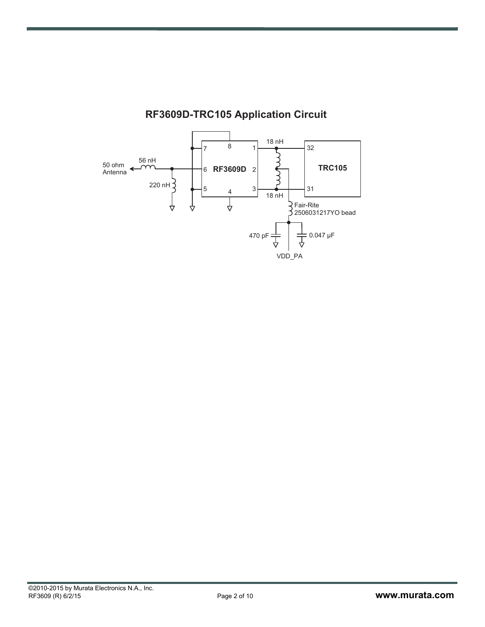

#### **-F3609D-TRC105 Application Circui**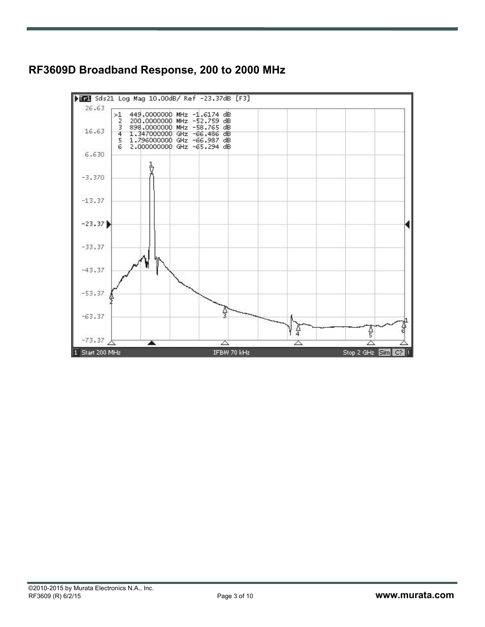## **RF3609D Broadband Response, 200 to 2000 MHz**

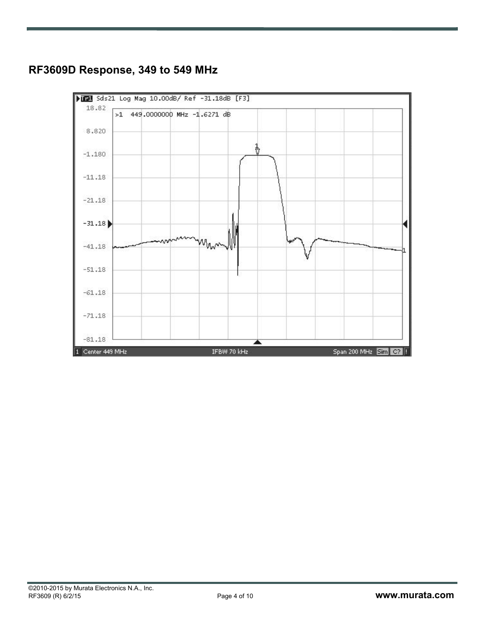# **RF3609D Response, 349 to 549 MHz**

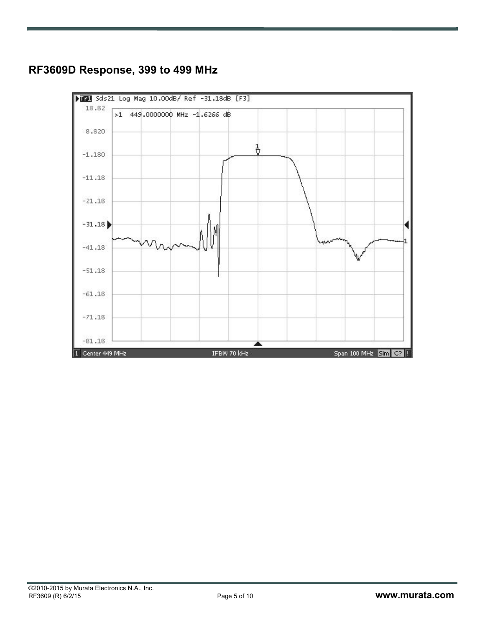## **RF3609D Response, 399 to 499 MHz**

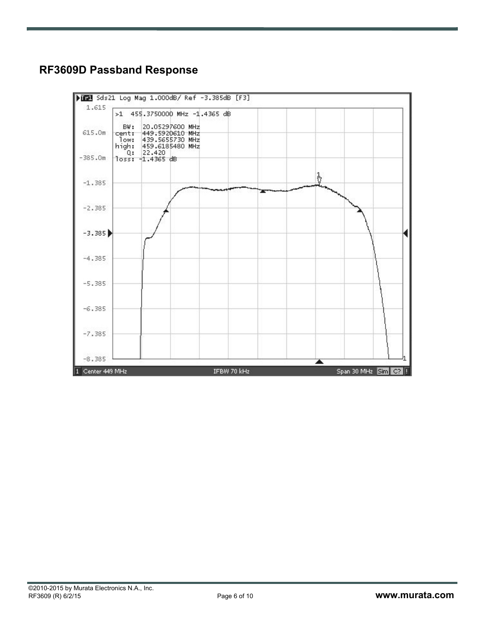# **RF3609D Passband Response**

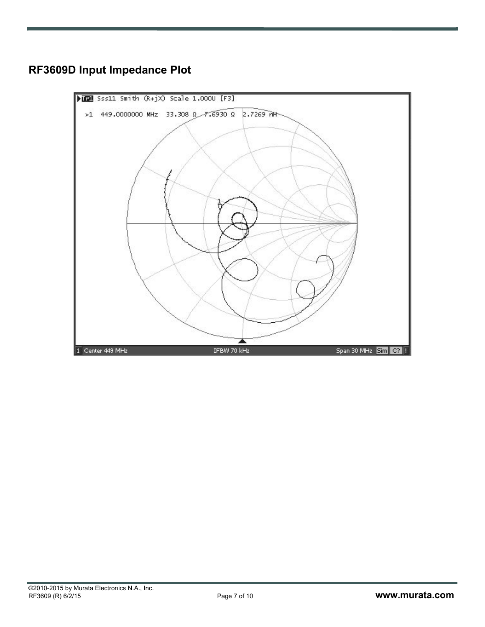

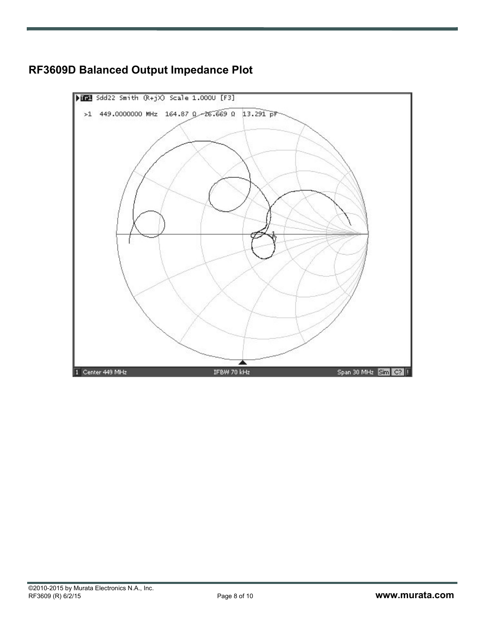

# **RF3609D Balanced Output Impedance Plot**

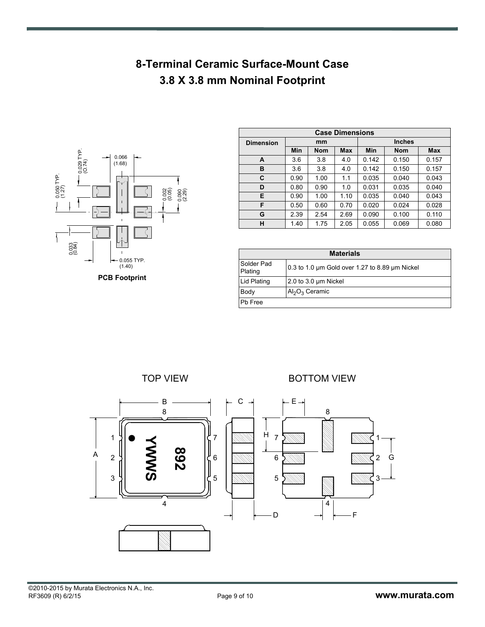# **8-Terminal Ceramic Surface-Mount Case 3.8 X 3.8 mm Nominal Footprint**



| <b>Case Dimensions</b> |      |            |      |               |            |            |  |
|------------------------|------|------------|------|---------------|------------|------------|--|
| <b>Dimension</b>       | mm   |            |      | <b>Inches</b> |            |            |  |
|                        | Min  | <b>Nom</b> | Max  | Min           | <b>Nom</b> | <b>Max</b> |  |
| A                      | 3.6  | 3.8        | 4.0  | 0.142         | 0.150      | 0.157      |  |
| в                      | 3.6  | 3.8        | 4.0  | 0.142         | 0.150      | 0.157      |  |
| C                      | 0.90 | 1.00       | 1.1  | 0.035         | 0.040      | 0.043      |  |
| D                      | 0.80 | 0.90       | 1.0  | 0.031         | 0.035      | 0.040      |  |
| E                      | 0.90 | 1.00       | 1.10 | 0.035         | 0.040      | 0.043      |  |
| F                      | 0.50 | 0.60       | 0.70 | 0.020         | 0.024      | 0.028      |  |
| G                      | 2.39 | 2.54       | 2.69 | 0.090         | 0.100      | 0.110      |  |
| н                      | 1.40 | 1.75       | 2.05 | 0.055         | 0.069      | 0.080      |  |

| <b>Materials</b>      |                                                |  |  |  |
|-----------------------|------------------------------------------------|--|--|--|
| Solder Pad<br>Plating | 0.3 to 1.0 um Gold over 1.27 to 8.89 um Nickel |  |  |  |
| Lid Plating           | 2.0 to 3.0 um Nickel                           |  |  |  |
| Body                  | $Al_2O_3$ Ceramic                              |  |  |  |
| Ph Free               |                                                |  |  |  |

TOP VIEW **BOTTOM VIEW** 

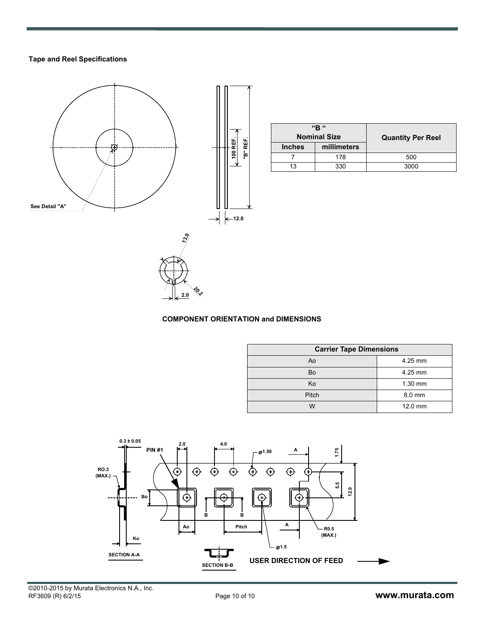#### **Tape and Reel Specifications**



| "R "<br><b>Nominal Size</b> |             | <b>Quantity Per Reel</b> |  |  |
|-----------------------------|-------------|--------------------------|--|--|
| <b>Inches</b>               | millimeters |                          |  |  |
|                             | 178         | 500                      |  |  |
| 13                          | 330         | 3000                     |  |  |

#### **COMPONENT ORIENTATION and DIMENSIONS**

**20.2 2.0**

| <b>Carrier Tape Dimensions</b> |           |  |  |  |
|--------------------------------|-----------|--|--|--|
| Ao                             | 4.25 mm   |  |  |  |
| Bo                             | 4.25 mm   |  |  |  |
| Ko                             | $1.30$ mm |  |  |  |
| Pitch                          | 8.0 mm    |  |  |  |
| W                              | 12.0 mm   |  |  |  |